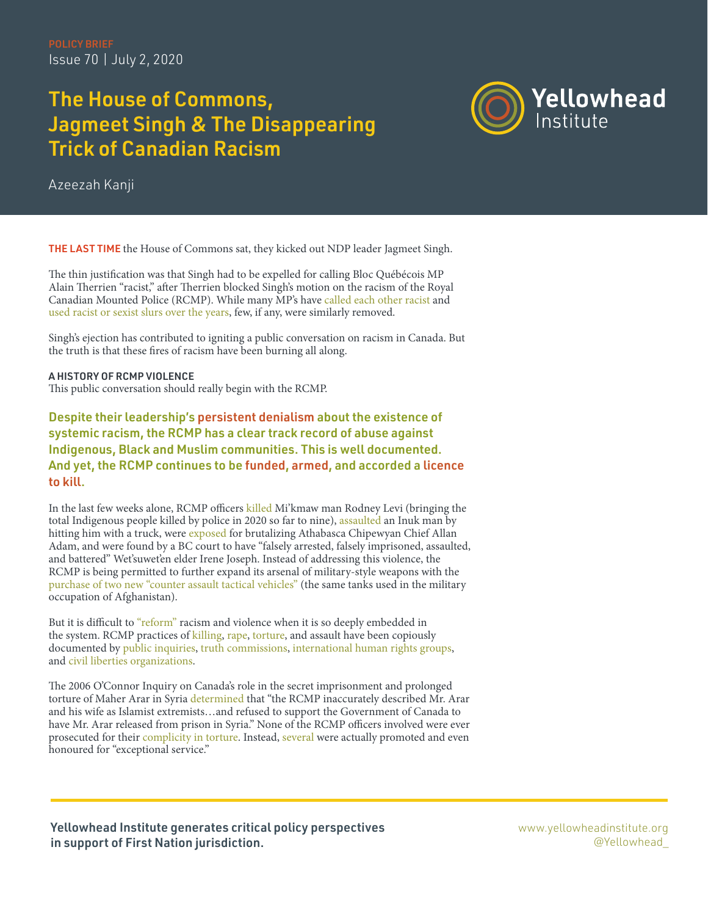## The House of Commons, Jagmeet Singh & The Disappearing Trick of Canadian Racism



Azeezah Kanji

THE LAST TIME the House of Commons sat, they kicked out NDP leader Jagmeet Singh.

The thin justification was that Singh had to be expelled for calling Bloc Québécois MP Alain Therrien "racist," after Therrien blocked Singh's motion on the racism of the Royal Canadian Mounted Police (RCMP). While many MP's have [called each other racist](https://twitter.com/rjjago/status/1273753843671666688?s=20) and [used racist or sexist slurs over the years](https://www.ctvnews.ca/is-profanity-in-parliament-a-longstanding-tradition-1.740640), few, if any, were similarly removed.

Singh's ejection has contributed to igniting a public conversation on racism in Canada. But the truth is that these fires of racism have been burning all along.

A HISTORY OF RCMP VIOLENCE This public conversation should really begin with the RCMP.

Despite their leadership's [persistent denialism](https://www.cbc.ca/news/politics/senator-rcmp-commissioner-resign-1.5612939) about the existence of systemic racism, the RCMP has a clear track record of abuse against Indigenous, Black and Muslim communities. This is well documented. And yet, the RCMP continues to be [funded,](https://www.rcmp-grc.gc.ca/en/royal-canadian-mounted-police-2019-2020-departmental-plan?wbdisable=true#A8) [armed](https://www.loc.gov/law/help/police-weapons/canada.php), and accorded a [licence](https://www.cbc.ca/news/politics/rcmp-use-of-force-data-1.5615871#:~:text=RCMP%20officers%20have%20pointed%20guns,most%20common%20recorded%20intervention%20tactic.)  [to kill](https://www.cbc.ca/news/politics/rcmp-use-of-force-data-1.5615871#:~:text=RCMP%20officers%20have%20pointed%20guns,most%20common%20recorded%20intervention%20tactic.).

In the last few weeks alone, RCMP officers [killed](https://www.aptnnews.ca/national-news/sister-says-rodney-levi-mikmaw-man-shot-and-killed-by-n-b-rcmp-was-a-jokester-with-the-biggest-heart/) Mi'kmaw man Rodney Levi (bringing the total Indigenous people killed by police in 2020 so far to nine), [assaulted](https://www.cbc.ca/radio/thecurrent/the-current-for-june-5-2020-1.5599723/video-of-rcmp-hitting-inuk-man-with-truck-shows-police-choosing-violence-over-protection-says-lawyer-1.5599847) an Inuk man by hitting him with a truck, were [exposed](https://www.cbc.ca/news/canada/edmonton/allan-adam-athabasca-chipewyan-first-nation-arrest-rcmp-assault-1.5624976) for brutalizing Athabasca Chipewyan Chief Allan Adam, and were found by a BC court to have "falsely arrested, falsely imprisoned, assaulted, and battered" Wet'suwet'en elder Irene Joseph. Instead of addressing this violence, the RCMP is being permitted to further expand its arsenal of military-style weapons with the [purchase of two new "counter assault tactical vehicles"](https://ipolitics.ca/2020/06/22/rcmp-plan-to-buy-more-armoured-vehicles-amid-new-scrutiny-over-policing-tactics/) (the same tanks used in the military occupation of Afghanistan).

But it is difficult to ["reform"](https://static1.squarespace.com/static/59ead8f9692ebee25b72f17f/t/5b65cd58758d46d34254f22c/1533398363539/CR_NoCops_reform_vs_abolition_CRside.pdf) racism and violence when it is so deeply embedded in the system. RCMP practices of [killing,](https://theconversation.com/remembering-neil-stonechild-and-exposing-systemic-racism-in-policing-128436) [rape,](https://www.cbc.ca/player/play/2334584298) [torture](https://www.hrw.org/report/2013/02/13/those-who-take-us-away/abusive-policing-and-failures-protection-indigenous-women), and assault have been copiously documented by [public inquiries,](https://www.ourcommons.ca/Content/Committee/402/SECU/Reports/RP4004074/securp03/securp03-e.pdf) [truth commissions,](https://www.qtcommission.ca/sites/default/files/public/thematic_reports/thematic_reports_english_final_report.pdf) [international human rights groups,](https://www.hrw.org/report/2013/02/13/those-who-take-us-away/abusive-policing-and-failures-protection-indigenous-women) and [civil liberties organizations.](https://bccla.org/2017/12/policing-indigenous-communities/)

The 2006 O'Connor Inquiry on Canada's role in the secret imprisonment and prolonged torture of Maher Arar in Syria [determined](https://www.ourcommons.ca/Content/Committee/402/SECU/Reports/RP4004074/securp03/securp03-e.pdf) that "the RCMP inaccurately described Mr. Arar and his wife as Islamist extremists…and refused to support the Government of Canada to have Mr. Arar released from prison in Syria." None of the RCMP officers involved were ever prosecuted for their [complicity in torture.](https://www.lawunion.ca/2006/arar-report-exposes-rcmp-government-officials-complicit-in-torture/) Instead, [several](https://www.pressreader.com/canada/ottawa-citizen/20060928/281517926607013) were actually promoted and even honoured for "exceptional service."

Yellowhead Institute generates critical policy perspectives in support of First Nation jurisdiction.

[www.yellowheadinstitute.org](https://www.theglobeandmail.com/opinion/article-the-mmiwg-inquiry-cannot-be-allowed-to-fail/) @Yellowhead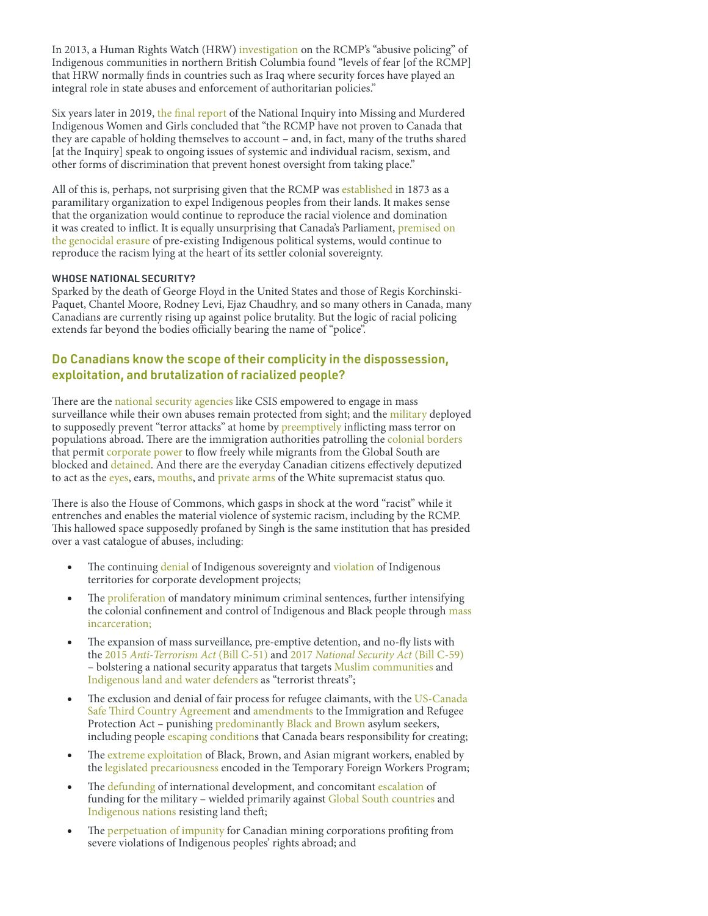In 2013, a Human Rights Watch (HRW) [investigation](https://www.hrw.org/report/2013/02/13/those-who-take-us-away/abusive-policing-and-failures-protection-indigenous-women) on the RCMP's "abusive policing" of Indigenous communities in northern British Columbia found "levels of fear [of the RCMP] that HRW normally finds in countries such as Iraq where security forces have played an integral role in state abuses and enforcement of authoritarian policies."

Six years later in 2019, [the final report](https://www.mmiwg-ffada.ca/wp-content/uploads/2019/06/Final_Report_Vol_1a-1.pdf) of the National Inquiry into Missing and Murdered Indigenous Women and Girls concluded that "the RCMP have not proven to Canada that they are capable of holding themselves to account – and, in fact, many of the truths shared [at the Inquiry] speak to ongoing issues of systemic and individual racism, sexism, and other forms of discrimination that prevent honest oversight from taking place."

All of this is, perhaps, not surprising given that the RCMP was [established](https://globalnews.ca/news/5381480/rcmp-indigenous-relationship/) in 1873 as a paramilitary organization to expel Indigenous peoples from their lands. It makes sense that the organization would continue to reproduce the racial violence and domination it was created to inflict. It is equally unsurprising that Canada's Parliament, [premised on](https://heinonline.org/HOL/LandingPage?handle=hein.journals/ubclr48&div=25&id=&page=)  [the genocidal erasure](https://heinonline.org/HOL/LandingPage?handle=hein.journals/ubclr48&div=25&id=&page=) of pre-existing Indigenous political systems, would continue to reproduce the racism lying at the heart of its settler colonial sovereignty.

## WHOSE NATIONAL SECURITY?

Sparked by the death of George Floyd in the United States and those of Regis Korchinski-Paquet, Chantel Moore, Rodney Levi, Ejaz Chaudhry, and so many others in Canada, many Canadians are currently rising up against police brutality. But the logic of racial policing extends far beyond the bodies officially bearing the name of "police".

## Do Canadians know the scope of their complicity in the dispossession, exploitation, and brutalization of racialized people?

There are the [national security agencies](https://ccla.org/mass-surveillance-bulk-collection-bill-c-59/) like CSIS empowered to engage in mass surveillance while their own abuses remain protected from sight; and the [military](https://www.psr.org/wp-content/uploads/2018/05/body-count.pdf) deployed to supposedly prevent "terror attacks" at home by [preemptively](https://digitalcommons.osgoode.yorku.ca/cgi/viewcontent.cgi?article=1344&context=ohlj) inflicting mass terror on populations abroad. There are the immigration authorities patrolling the [colonial borders](https://www.akpress.org/undoing-border-imperialism.html)  that permit [corporate power](https://justice-project.org/the-canada-brand-violence-and-canadian-mining-companies-in-latin-america/?utm_source=MiningWatch+Canada&utm_campaign=43c406ecf6-EMAIL_CAMPAIGN_2016_11_16&utm_medium=email&utm_term=0_49649c74b8-43c406ecf6-103735165) to flow freely while migrants from the Global South are blocked and [detained](https://www.globaldetentionproject.org/countries/americas/canada). And there are the everyday Canadian citizens effectively deputized to act as the [eyes](https://www.dhs.gov/news/2016/02/18/dhs-partners-royal-canadian-mounted-police-if-you-see-something-say-something), ears, [mouths,](https://nationalpost.com/news/canada/documents-reveal-92-per-cent-of-calls-to-existing-rcmp-terror-tip-line-are-non-sensical-or-unrelated) and [private arms](https://www.cbc.ca/news/indigenous/colten-boushie-gerald-stanley-indigenous-justice-history-1.4532564) of the White supremacist status quo.

There is also the House of Commons, which gasps in shock at the word "racist" while it entrenches and enables the material violence of systemic racism, including by the RCMP. This hallowed space supposedly profaned by Singh is the same institution that has presided over a vast catalogue of abuses, including:

- The continuing [denial](https://yellowheadinstitute.org/wp-content/uploads/2018/06/yi-rights-report-june-2018-final-5.4.pdf) of Indigenous sovereignty and [violation](https://redpaper.yellowheadinstitute.org/wp-content/uploads/2019/10/red-paper-report-final.pdf) of Indigenous territories for corporate development projects;
- The [proliferation](https://globalnews.ca/news/6381260/mandatory-minimums-justice-reform/) of mandatory minimum criminal sentences, further intensifying the colonial confinement and control of Indigenous and Black people through [mass](https://yellowheadinstitute.org/2020/06/25/carceral-redlining-white-supremacy-is-a-weapon-of-mass-incarceration-for-indigenous-and-black-peoples-in-canada/) [incarceration;](https://yellowheadinstitute.org/2020/06/25/carceral-redlining-white-supremacy-is-a-weapon-of-mass-incarceration-for-indigenous-and-black-peoples-in-canada/)
- The expansion of mass surveillance, pre-emptive detention, and no-fly lists with the 2015 *[Anti-Terrorism Act](https://iclmg.ca/issues/bill-c-51-the-anti-terrorism-act-2015/)* (Bill C-51) and 2017 *[National Security Act](https://iclmg.ca/c59-is-law/)* (Bill C-59) – bolstering a national security apparatus that targets [Muslim communities](https://www.cbc.ca/news/canada/toronto/csis-students-university-muslim-campus-1.5229670) and [Indigenous land and water defenders](https://www.jstor.org/stable/24469643?seq=1) as "terrorist threats";
- The exclusion and denial of fair process for refugee claimants, with the US-Canada [Safe Third Country Agreement](https://www.amnesty.ca/sites/amnesty/files/Contesting%20the%20Designation%20of%20the%20US%20as%20a%20Safe%20Third%20Country.pdf) and [amendments](https://www.bellissimolawgroup.com/bill-c-97-division-16-tightened-restrictions-on-inland-refugee-claims/) to the Immigration and Refugee Protection Act – punishing [predominantly Black and Brown](https://www.migrationpolicy.org/article/us-policy-safe-third-country-loophole-drive-irregular-migration-canada) asylum seekers, including people [escaping condition](https://www.theguardian.com/environment/true-north/2017/aug/29/welcoming-haitian-refugees-to-canada-isnt-about-generosity-but-justice)s that Canada bears responsibility for creating;
- The [extreme exploitation](https://migrantworkersalliance.org/wp-content/uploads/2020/06/Unheeded-Warnings-COVID19-and-Migrant-Workers.pdf) of Black, Brown, and Asian migrant workers, enabled by the [legislated precariousness](https://metcalffoundation.com/publication/made-in-canada-how-the-law-constructs-migrant-workers-insecurity/) encoded in the Temporary Foreign Workers Program;
- The [defunding](https://www.opencanada.org/features/election-2019-foreign-aid-cuts-would-be-even-deeper-first-thought/) of international development, and concomitant [escalation](https://www.theguardian.com/world/2017/jun/07/canada-increase-military-spending-nato) of funding for the military – wielded primarily against [Global South countries](https://www.ctvnews.ca/canada/canada-s-current-military-operations-abroad-1.3154603) and [Indigenous nations](https://www.aptnnews.ca/national-news/echoes-of-oka-trudeau-minister-says-military-involvement-possible-against-oil-pipeline-resistance/) resisting land theft;
- The [perpetuation of impunity](https://miningwatch.ca/blog/2019/5/4/canada-still-needs-ombudsperson-investigate-mining-cases-not-advisor-minister?__cf_chl_jschl_tk__=8a25f6142da95a539ec614b9885d360872c75787-1592845560-0-AbOuC3NJJHvG1GSePObezfz2z1hY1jA1P4yXkhaHRrUZAjaruSCluucH2YtreKV9zpqWR3iaIvrdfqHWzkX3kgpejNmzJrjFLhSw0yNO_TKYqc86tH7AbDN6w-egseZey_B08GH995xGJB4fENtyRrshlq1aae0ha4Jdy2Xubdrqau4z3zRZFazNUxAfCGhjFPkTQlrhfxrNgwk96BwDu_COObjX5rL5Dtv0S7-mu-TPtegJCBGJ9zUmPWLy2iO7LVzwja3x8oYIfXsVqwhNzkxte9KOQk8q3yqyXISc4iR_ARO6yt-AzDRzjDVqGg7yCFxtBNN-iVWhTLGL6JK6g5qij4BuQOm8a27wzYreQf8LKX2bFexo1vEd-DmmMQkI3tUw2SPU2FsIYxWL0vHqGkg) for Canadian mining corporations profiting from severe violations of Indigenous peoples' rights abroad; and